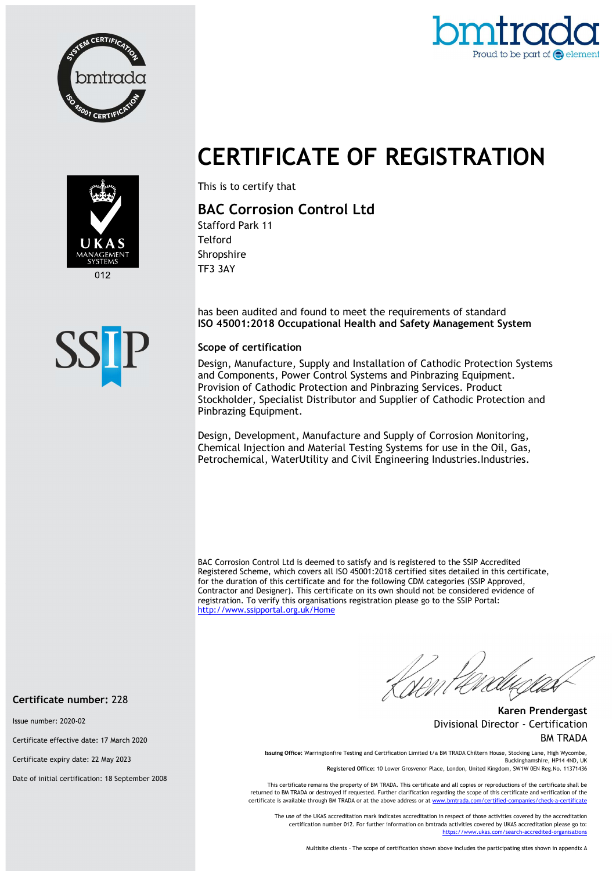



## CERTIFICATE OF REGISTRATION



 $012$ 



This is to certify that

## BAC Corrosion Control Ltd

Stafford Park 11 Telford Shropshire TF3 3AY

has been audited and found to meet the requirements of standard ISO 45001:2018 Occupational Health and Safety Management System

## Scope of certification

Design, Manufacture, Supply and Installation of Cathodic Protection Systems and Components, Power Control Systems and Pinbrazing Equipment. Provision of Cathodic Protection and Pinbrazing Services. Product Stockholder, Specialist Distributor and Supplier of Cathodic Protection and Pinbrazing Equipment.

Design, Development, Manufacture and Supply of Corrosion Monitoring, Chemical Injection and Material Testing Systems for use in the Oil, Gas, Petrochemical, WaterUtility and Civil Engineering Industries.Industries.

BAC Corrosion Control Ltd is deemed to satisfy and is registered to the SSIP Accredited Registered Scheme, which covers all ISO 45001:2018 certified sites detailed in this certificate, for the duration of this certificate and for the following CDM categories (SSIP Approved, Contractor and Designer). This certificate on its own should not be considered evidence of registration. To verify this organisations registration please go to the SSIP Portal: http://www.ssipportal.org.uk/Home

[Nom

Karen Prendergast Divisional Director - Certification BM TRADA

Issuing Office: Warringtonfire Testing and Certification Limited t/a BM TRADA Chiltern House, Stocking Lane, High Wycombe, Buckinghamshire, HP14 4ND, UK Registered Office: 10 Lower Grosvenor Place, London, United Kingdom, SW1W 0EN Reg.No. 11371436

This certificate remains the property of BM TRADA. This certificate and all copies or reproductions of the certificate shall be

returned to BM TRADA or destroyed if requested. Further clarification regarding the scope of this certificate and verification of the certificate is available through BM TRADA or at the above address or at www.bmtrada.com/certified-

The use of the UKAS accreditation mark indicates accreditation in respect of those activities covered by the accreditation certification number 012. For further information on bmtrada activities covered by UKAS accreditation please go to:<br>https://www.ukas.com/search-accredited-organisations n/search-accredited-organi

Multisite clients – The scope of certification shown above includes the participating sites shown in appendix A

Certificate number: 228

Issue number: 2020-02

Certificate effective date: 17 March 2020

Certificate expiry date: 22 May 2023

Date of initial certification: 18 September 2008